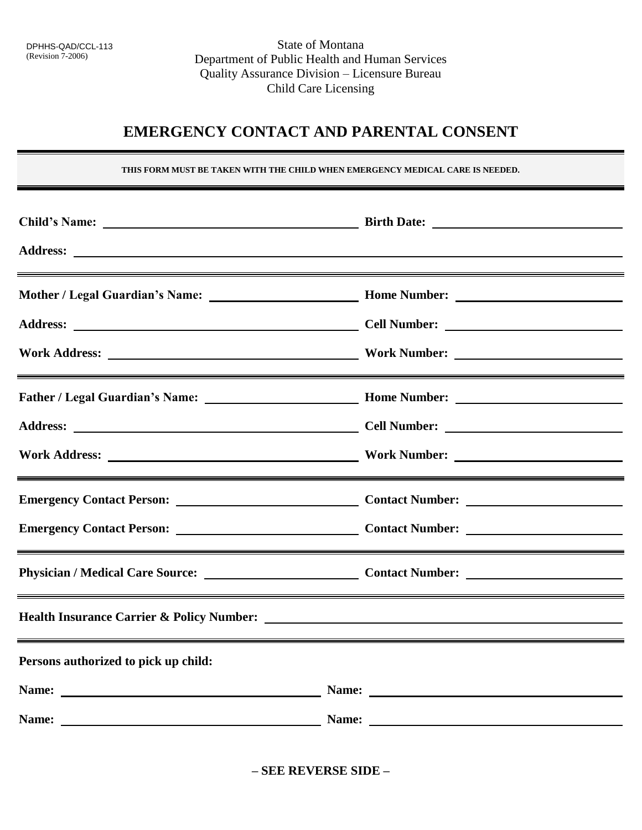## **EMERGENCY CONTACT AND PARENTAL CONSENT**<br>THIS FORM MUST BE TAKEN WITH THE CHILD WHEN EMERGENCY MEDICAL CARE IS NEEDED.

THIS FORM MUST BE TAKEN WITH THE CHILD WHEN EMERGENCY MEDICAL CARE IS NEEDED.

|                                      | <u> 2008 - Ann an Dùbhlachd ann an Dùbhlachd ann an Dùbhlachd ann an Dùbhlachd ann an Dùbhlachd ann an Dùbhlachd </u>                                                                                                               |
|--------------------------------------|-------------------------------------------------------------------------------------------------------------------------------------------------------------------------------------------------------------------------------------|
|                                      |                                                                                                                                                                                                                                     |
|                                      |                                                                                                                                                                                                                                     |
|                                      |                                                                                                                                                                                                                                     |
|                                      |                                                                                                                                                                                                                                     |
|                                      |                                                                                                                                                                                                                                     |
|                                      |                                                                                                                                                                                                                                     |
|                                      |                                                                                                                                                                                                                                     |
|                                      |                                                                                                                                                                                                                                     |
|                                      | <u> 1989 - Andrea Santa Andrea Santa Andrea Santa Andrea Santa Andrea Santa Andrea Santa Andrea Santa Andrea San</u>                                                                                                                |
| Persons authorized to pick up child: |                                                                                                                                                                                                                                     |
|                                      | Name: Name: Name: Name: Name: Name: Name: Name: Name: Name: Name: Name: Name: Name: Name: Name: Name: Name: Name: Name: Name: Name: Name: Name: Name: Name: Name: Name: Name: Name: Name: Name: Name: Name: Name: Name: Name:       |
|                                      | Name: <u>Name:</u> Name: Name: Name: Name: Name: Name: Name: Name: Name: Name: Name: Name: Name: Name: Name: Name: Name: Name: Name: Name: Name: Name: Name: Name: Name: Name: Name: Name: Name: Name: Name: Name: Name: Name: Name |

 **– SEE REVERSE SIDE –**